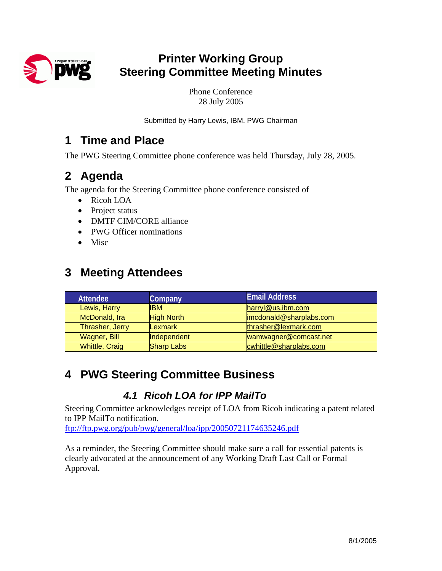

# **Printer Working Group Steering Committee Meeting Minutes**

Phone Conference 28 July 2005

Submitted by Harry Lewis, IBM, PWG Chairman

## **1 Time and Place**

The PWG Steering Committee phone conference was held Thursday, July 28, 2005.

# **2 Agenda**

The agenda for the Steering Committee phone conference consisted of

- Ricoh LOA
- Project status
- DMTF CIM/CORE alliance
- PWG Officer nominations
- Misc

## **3 Meeting Attendees**

| <b>Attendee</b>       | Company           | <b>Email Address</b>    |
|-----------------------|-------------------|-------------------------|
| Lewis, Harry          | IIBM.             | harryl@us.ibm.com       |
| McDonald, Ira         | <b>High North</b> | imcdonald@sharplabs.com |
| Thrasher, Jerry       | Lexmark           | thrasher@lexmark.com    |
| Wagner, Bill          | Independent       | wamwagner@comcast.net   |
| <b>Whittle, Craig</b> | <b>Sharp Labs</b> | cwhittle@sharplabs.com  |

# **4 PWG Steering Committee Business**

## *4.1 Ricoh LOA for IPP MailTo*

Steering Committee acknowledges receipt of LOA from Ricoh indicating a patent related to IPP MailTo notification.

<ftp://ftp.pwg.org/pub/pwg/general/loa/ipp/20050721174635246.pdf>

As a reminder, the Steering Committee should make sure a call for essential patents is clearly advocated at the announcement of any Working Draft Last Call or Formal Approval.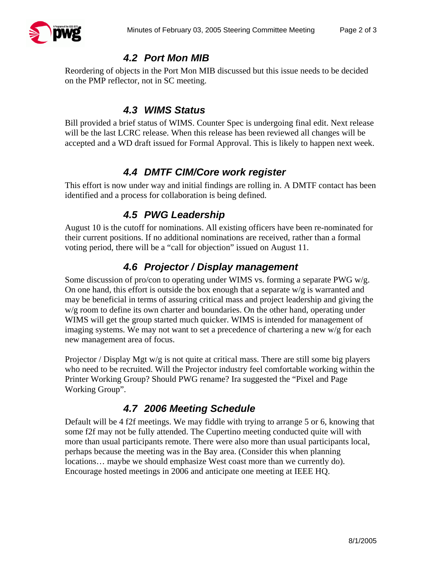

#### *4.2 Port Mon MIB*

Reordering of objects in the Port Mon MIB discussed but this issue needs to be decided on the PMP reflector, not in SC meeting.

### *4.3 WIMS Status*

Bill provided a brief status of WIMS. Counter Spec is undergoing final edit. Next release will be the last LCRC release. When this release has been reviewed all changes will be accepted and a WD draft issued for Formal Approval. This is likely to happen next week.

#### *4.4 DMTF CIM/Core work register*

This effort is now under way and initial findings are rolling in. A DMTF contact has been identified and a process for collaboration is being defined.

#### *4.5 PWG Leadership*

August 10 is the cutoff for nominations. All existing officers have been re-nominated for their current positions. If no additional nominations are received, rather than a formal voting period, there will be a "call for objection" issued on August 11.

## *4.6 Projector / Display management*

Some discussion of pro/con to operating under WIMS vs. forming a separate PWG w/g. On one hand, this effort is outside the box enough that a separate w/g is warranted and may be beneficial in terms of assuring critical mass and project leadership and giving the w/g room to define its own charter and boundaries. On the other hand, operating under WIMS will get the group started much quicker. WIMS is intended for management of imaging systems. We may not want to set a precedence of chartering a new w/g for each new management area of focus.

Projector / Display Mgt w/g is not quite at critical mass. There are still some big players who need to be recruited. Will the Projector industry feel comfortable working within the Printer Working Group? Should PWG rename? Ira suggested the "Pixel and Page Working Group".

#### *4.7 2006 Meeting Schedule*

Default will be 4 f2f meetings. We may fiddle with trying to arrange 5 or 6, knowing that some f2f may not be fully attended. The Cupertino meeting conducted quite will with more than usual participants remote. There were also more than usual participants local, perhaps because the meeting was in the Bay area. (Consider this when planning locations... maybe we should emphasize West coast more than we currently do). Encourage hosted meetings in 2006 and anticipate one meeting at IEEE HQ.